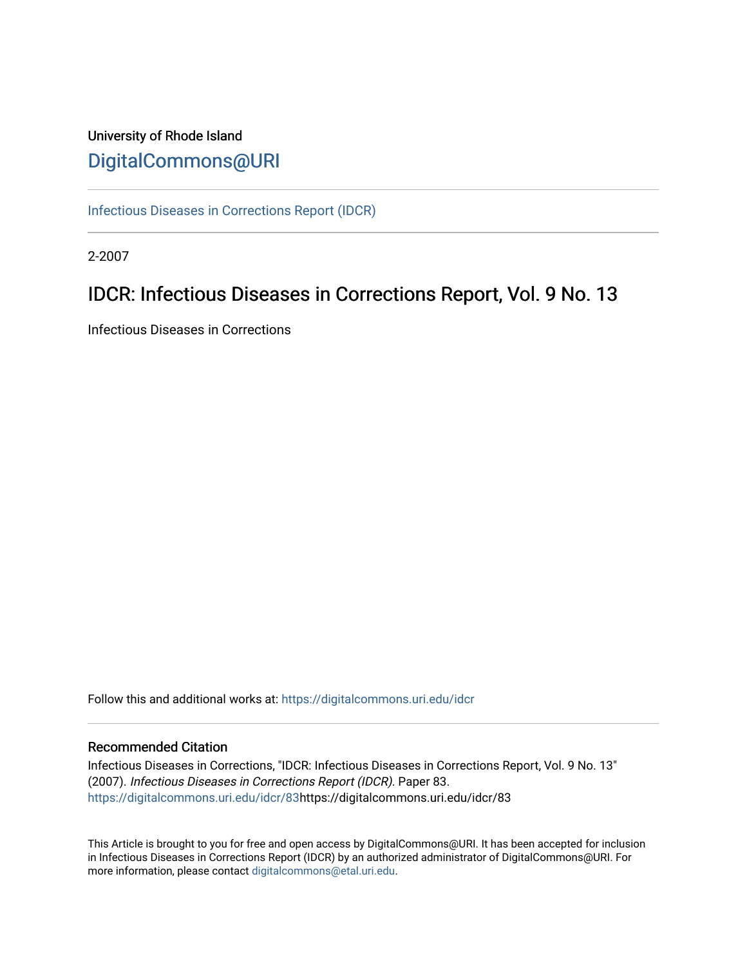# University of Rhode Island [DigitalCommons@URI](https://digitalcommons.uri.edu/)

[Infectious Diseases in Corrections Report \(IDCR\)](https://digitalcommons.uri.edu/idcr)

2-2007

# IDCR: Infectious Diseases in Corrections Report, Vol. 9 No. 13

Infectious Diseases in Corrections

Follow this and additional works at: [https://digitalcommons.uri.edu/idcr](https://digitalcommons.uri.edu/idcr?utm_source=digitalcommons.uri.edu%2Fidcr%2F83&utm_medium=PDF&utm_campaign=PDFCoverPages)

### Recommended Citation

Infectious Diseases in Corrections, "IDCR: Infectious Diseases in Corrections Report, Vol. 9 No. 13" (2007). Infectious Diseases in Corrections Report (IDCR). Paper 83. [https://digitalcommons.uri.edu/idcr/83h](https://digitalcommons.uri.edu/idcr/83?utm_source=digitalcommons.uri.edu%2Fidcr%2F83&utm_medium=PDF&utm_campaign=PDFCoverPages)ttps://digitalcommons.uri.edu/idcr/83

This Article is brought to you for free and open access by DigitalCommons@URI. It has been accepted for inclusion in Infectious Diseases in Corrections Report (IDCR) by an authorized administrator of DigitalCommons@URI. For more information, please contact [digitalcommons@etal.uri.edu.](mailto:digitalcommons@etal.uri.edu)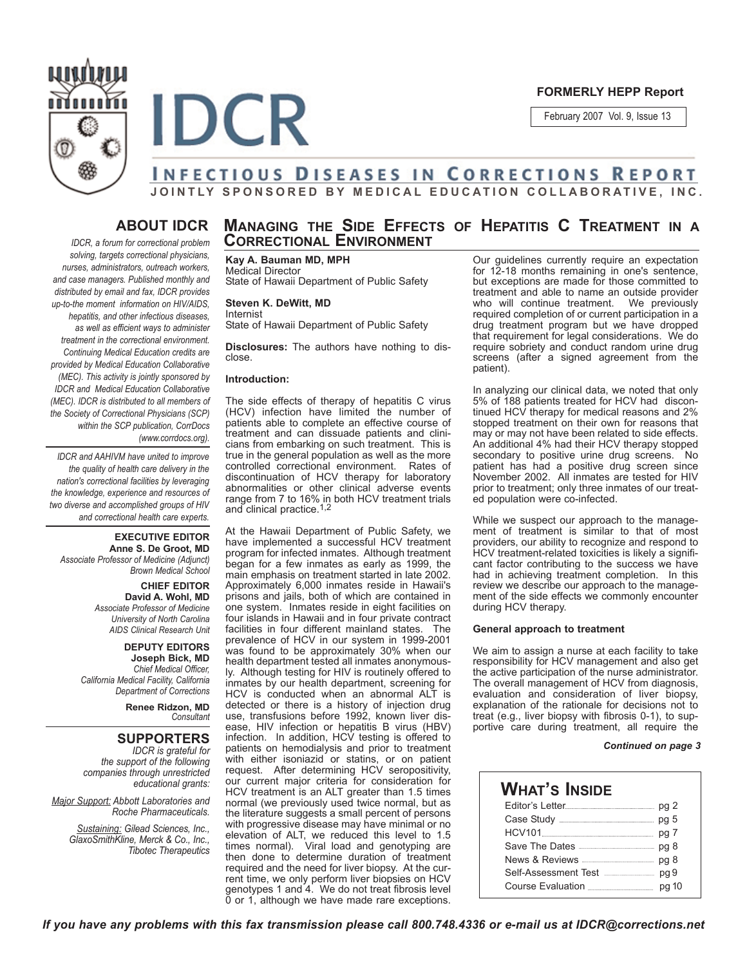

**FORMERLY HEPP Report**

February 2007 Vol. 9, Issue 13

# **INFECTIOUS DISEASES IN CORRECTIONS REPORT JOINTLY SPONSORED BY MEDICAL EDUCATION COLLABORATIVE, INC.**

## **ABOUT IDCR**

*IDCR, a forum for correctional problem solving, targets correctional physicians, nurses, administrators, outreach workers, and case managers. Published monthly and distributed by email and fax, IDCR provides up-to-the moment information on HIV/AIDS, hepatitis, and other infectious diseases, as well as efficient ways to administer treatment in the correctional environment. Continuing Medical Education credits are provided by Medical Education Collaborative (MEC). This activity is jointly sponsored by IDCR and Medical Education Collaborative (MEC). IDCR is distributed to all members of the Society of Correctional Physicians (SCP) within the SCP publication, CorrDocs (www.corrdocs.org).*

*IDCR and AAHIVM have united to improve the quality of health care delivery in the nation's correctional facilities by leveraging the knowledge, experience and resources of two diverse and accomplished groups of HIV and correctional health care experts.* 

**EXECUTIVE EDITOR Anne S. De Groot, MD** *Associate Professor of Medicine (Adjunct) Brown Medical School*

> **CHIEF EDITOR David A. Wohl, MD** *Associate Professor of Medicine University of North Carolina AIDS Clinical Research Unit*

**DEPUTY EDITORS Joseph Bick, MD** *Chief Medical Officer, California Medical Facility, California Department of Corrections*

> **Renee Ridzon, MD** *Consultant*

### **SUPPORTERS**

*IDCR is grateful for the support of the following companies through unrestricted educational grants:*

*Major Support: Abbott Laboratories and Roche Pharmaceuticals.* 

> *Sustaining: Gilead Sciences, Inc., GlaxoSmithKline, Merck & Co., Inc., Tibotec Therapeutics*

# **MANAGING THE SIDE EFFECTS OF HEPATITIS C TREATMENT IN A CORRECTIONAL ENVIRONMENT**

**Kay A. Bauman MD, MPH** Medical Director State of Hawaii Department of Public Safety

#### **Steven K. DeWitt, MD** Internist

State of Hawaii Department of Public Safety

**Disclosures:** The authors have nothing to disclose.

#### **Introduction:**

**IDCR** 

The side effects of therapy of hepatitis C virus (HCV) infection have limited the number of patients able to complete an effective course of treatment and can dissuade patients and clinicians from embarking on such treatment. This is true in the general population as well as the more controlled correctional environment. Rates of discontinuation of HCV therapy for laboratory abnormalities or other clinical adverse events range from 7 to 16% in both HCV treatment trials and clinical practice.<sup>1,2</sup>

At the Hawaii Department of Public Safety, we have implemented a successful HCV treatment program for infected inmates. Although treatment began for a few inmates as early as 1999, the main emphasis on treatment started in late 2002. Approximately 6,000 inmates reside in Hawaii's prisons and jails, both of which are contained in one system. Inmates reside in eight facilities on four islands in Hawaii and in four private contract facilities in four different mainland states. The prevalence of HCV in our system in 1999-2001 was found to be approximately 30% when our health department tested all inmates anonymously. Although testing for HIV is routinely offered to inmates by our health department, screening for HCV is conducted when an abnormal ALT is detected or there is a history of injection drug use, transfusions before 1992, known liver disease, HIV infection or hepatitis B virus (HBV) infection. In addition, HCV testing is offered to patients on hemodialysis and prior to treatment with either isoniazid or statins, or on patient request. After determining HCV seropositivity, our current major criteria for consideration for HCV treatment is an ALT greater than 1.5 times normal (we previously used twice normal, but as the literature suggests a small percent of persons with progressive disease may have minimal or no elevation of ALT, we reduced this level to 1.5 times normal). Viral load and genotyping are Viral load and genotyping are then done to determine duration of treatment required and the need for liver biopsy. At the current time, we only perform liver biopsies on HCV genotypes 1 and 4. We do not treat fibrosis level 0 or 1, although we have made rare exceptions.

Our guidelines currently require an expectation for 12-18 months remaining in one's sentence, but exceptions are made for those committed to treatment and able to name an outside provider who will continue treatment. We previously required completion of or current participation in a drug treatment program but we have dropped that requirement for legal considerations. We do require sobriety and conduct random urine drug screens (after a signed agreement from the patient).

In analyzing our clinical data, we noted that only 5% of 188 patients treated for HCV had discontinued HCV therapy for medical reasons and 2% stopped treatment on their own for reasons that may or may not have been related to side effects. An additional 4% had their HCV therapy stopped secondary to positive urine drug screens. No patient has had a positive drug screen since November 2002. All inmates are tested for HIV prior to treatment; only three inmates of our treated population were co-infected.

While we suspect our approach to the management of treatment is similar to that of most providers, our ability to recognize and respond to HCV treatment-related toxicities is likely a significant factor contributing to the success we have had in achieving treatment completion. In this review we describe our approach to the management of the side effects we commonly encounter during HCV therapy.

#### **General approach to treatment**

We aim to assign a nurse at each facility to take responsibility for HCV management and also get the active participation of the nurse administrator. The overall management of HCV from diagnosis, evaluation and consideration of liver biopsy, explanation of the rationale for decisions not to treat (e.g., liver biopsy with fibrosis 0-1), to supportive care during treatment, all require the

#### *Continued on page 3*

## **WHAT'S INSIDE**

| Editor's Letter pg 2                     |  |
|------------------------------------------|--|
|                                          |  |
|                                          |  |
| Save The Dates <b>Entertainment</b> pg 8 |  |
|                                          |  |
|                                          |  |
|                                          |  |

*If you have any problems with this fax transmission please call 800.748.4336 or e-mail us at IDCR@corrections.net*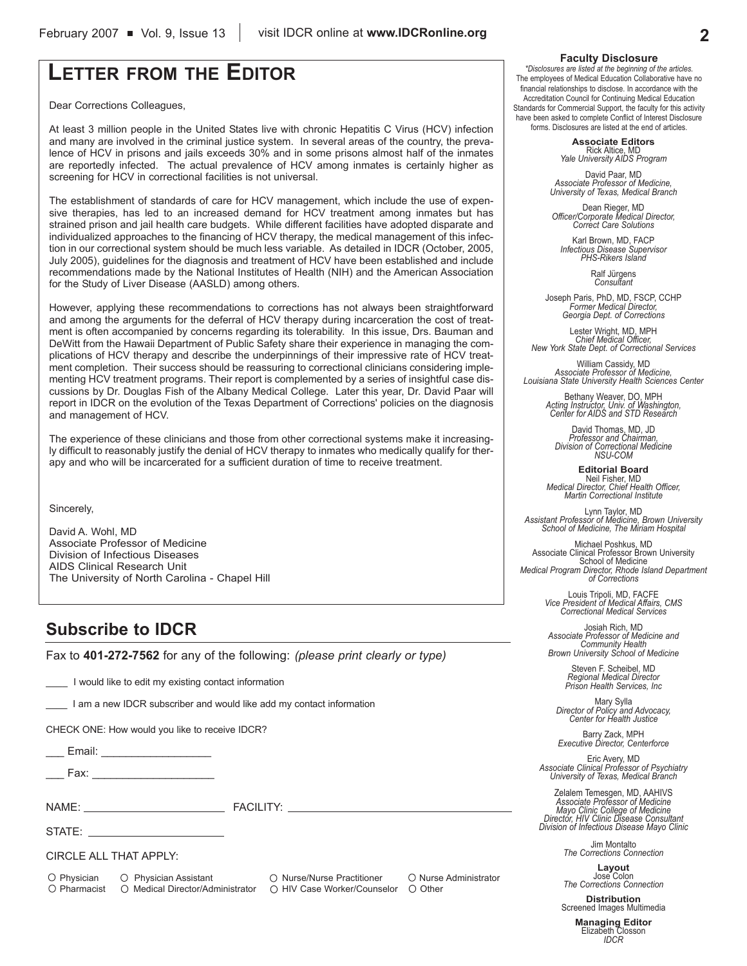# **LETTER FROM THE EDITOR**

Dear Corrections Colleagues,

At least 3 million people in the United States live with chronic Hepatitis C Virus (HCV) infection and many are involved in the criminal justice system. In several areas of the country, the prevalence of HCV in prisons and jails exceeds 30% and in some prisons almost half of the inmates are reportedly infected. The actual prevalence of HCV among inmates is certainly higher as screening for HCV in correctional facilities is not universal.

The establishment of standards of care for HCV management, which include the use of expensive therapies, has led to an increased demand for HCV treatment among inmates but has strained prison and jail health care budgets. While different facilities have adopted disparate and individualized approaches to the financing of HCV therapy, the medical management of this infection in our correctional system should be much less variable. As detailed in IDCR (October, 2005, July 2005), guidelines for the diagnosis and treatment of HCV have been established and include recommendations made by the National Institutes of Health (NIH) and the American Association for the Study of Liver Disease (AASLD) among others.

However, applying these recommendations to corrections has not always been straightforward and among the arguments for the deferral of HCV therapy during incarceration the cost of treatment is often accompanied by concerns regarding its tolerability. In this issue, Drs. Bauman and DeWitt from the Hawaii Department of Public Safety share their experience in managing the complications of HCV therapy and describe the underpinnings of their impressive rate of HCV treatment completion. Their success should be reassuring to correctional clinicians considering implementing HCV treatment programs. Their report is complemented by a series of insightful case discussions by Dr. Douglas Fish of the Albany Medical College. Later this year, Dr. David Paar will report in IDCR on the evolution of the Texas Department of Corrections' policies on the diagnosis and management of HCV.

The experience of these clinicians and those from other correctional systems make it increasingly difficult to reasonably justify the denial of HCV therapy to inmates who medically qualify for therapy and who will be incarcerated for a sufficient duration of time to receive treatment.

Sincerely,

David A. Wohl, MD Associate Professor of Medicine Division of Infectious Diseases AIDS Clinical Research Unit The University of North Carolina - Chapel Hill

# **Subscribe to IDCR**

Fax to **401-272-7562** for any of the following: *(please print clearly or type)*

I would like to edit my existing contact information

\_\_\_\_ I am a new IDCR subscriber and would like add my contact information

CHECK ONE: How would you like to receive IDCR?

Email: **Email:**  $\blacksquare$ 

Fax:  $\overline{\phantom{a}}$ 

NAME: THE RESERVE TO THE RESERVE TO THE RESERVE TO THE RESERVE TO THE RESERVE TO THE RESERVE TO THE RESERVE TO

STATE:

CIRCLE ALL THAT APPLY:

O Physician O Physician Assistant O Nurse/Nurse Practitioner O Nurse Administrator  $\bigcirc$  Pharmacist  $\bigcirc$  Medical Director/Administrator  $\bigcirc$  HIV Case Worker/Counselor  $\bigcirc$  Other

#### **Faculty Disclosure**

*\*Disclosures are listed at the beginning of the articles.* The employees of Medical Education Collaborative have no financial relationships to disclose. In accordance with the Accreditation Council for Continuing Medical Education Standards for Commercial Support, the faculty for this activity have been asked to complete Conflict of Interest Disclosure forms. Disclosures are listed at the end of articles.

> **Associate Editors** Rick Altice, MD *Yale University AIDS Program*

David Paar, MD *Associate Professor of Medicine, University of Texas, Medical Branch*

Dean Rieger, MD *Officer/Corporate Medical Director, Correct Care Solutions*

Karl Brown, MD, FACP *Infectious Disease Supervisor PHS-Rikers Island*

Ralf Jürgens *Consultant*

Joseph Paris, PhD, MD, FSCP, CCHP *Former Medical Director, Georgia Dept. of Corrections*

Lester Wright, MD, MPH *Chief Medical Officer, New York State Dept. of Correctional Services*

William Cassidy, MD *Associate Professor of Medicine, Louisiana State University Health Sciences Center*

Bethany Weaver, DO, MPH *Acting Instructor, Univ. of Washington, Center for AIDS and STD Research*

David Thomas, MD, JD *Professor and Chairman, Division of Correctional Medicine NSU-COM*

**Editorial Board** Neil Fisher, MD *Medical Director, Chief Health Officer, Martin Correctional Institute*

Lynn Taylor, MD *Assistant Professor of Medicine, Brown University School of Medicine, The Miriam Hospital*

Michael Poshkus, MD Associate Clinical Professor Brown University School of Medicine *Medical Program Director, Rhode Island Department of Corrections*

> Louis Tripoli, MD, FACFE *Vice President of Medical Affairs, CMS Correctional Medical Services*

Josiah Rich, MD *Associate Professor of Medicine and Community Health Brown University School of Medicine*

> Steven F. Scheibel, MD *Regional Medical Director Prison Health Services, Inc*

Mary Sylla *Director of Policy and Advocacy, Center for Health Justice*

Barry Zack, MPH *Executive Director, Centerforce*

Eric Avery, MD *Associate Clinical Professor of Psychiatry University of Texas, Medical Branch*

Zelalem Temesgen, MD, AAHIVS *Associate Professor of Medicine Mayo Clinic College of Medicine Director, HIV Clinic Disease Consultant Division of Infectious Disease Mayo Clinic*

Jim Montalto *The Corrections Connection*

**Layout** Jose Colon *The Corrections Connection*

**Distribution** Screened Images Multimedia

> **Managing Editor** Elizabeth Closson *IDCR*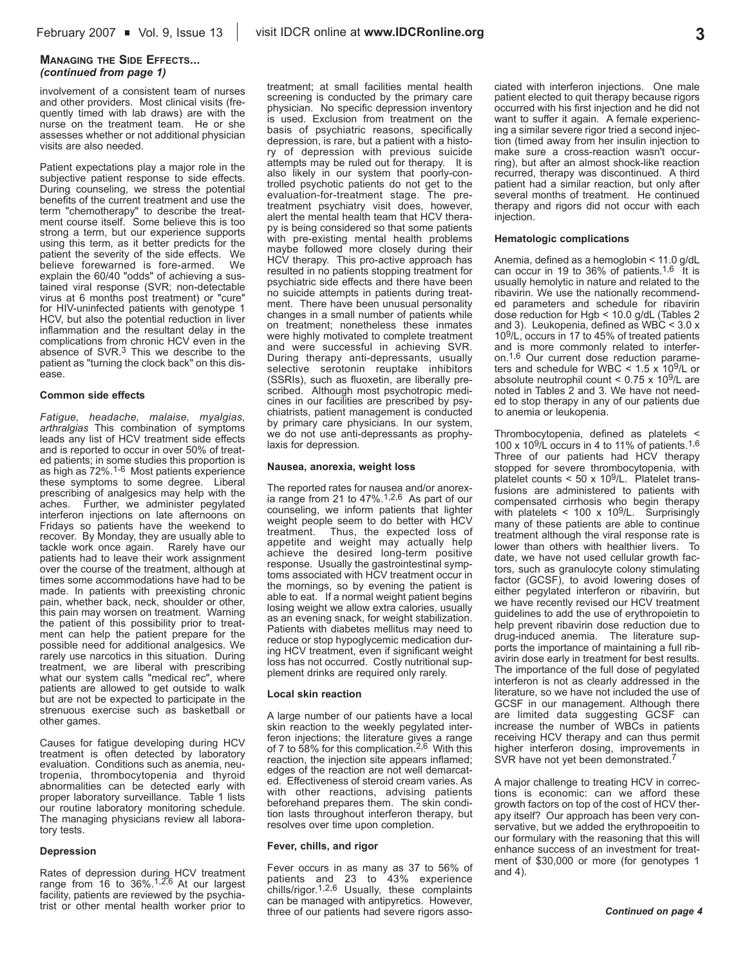#### **MANAGING THE SIDE EFFECTS...** *(continued from page 1)*

involvement of a consistent team of nurses and other providers. Most clinical visits (frequently timed with lab draws) are with the nurse on the treatment team. He or she assesses whether or not additional physician visits are also needed.

Patient expectations play a major role in the subjective patient response to side effects. During counseling, we stress the potential benefits of the current treatment and use the term "chemotherapy" to describe the treatment course itself. Some believe this is too strong a term, but our experience supports using this term, as it better predicts for the patient the severity of the side effects. We believe forewarned is fore-armed. We explain the 60/40 "odds" of achieving a sustained viral response (SVR; non-detectable virus at 6 months post treatment) or "cure" for HIV-uninfected patients with genotype 1 HCV, but also the potential reduction in liver inflammation and the resultant delay in the complications from chronic HCV even in the absence of SVR.3 This we describe to the patient as "turning the clock back" on this disease.

#### **Common side effects**

*Fatigue, headache, malaise, myalgias, arthralgias* This combination of symptoms leads any list of HCV treatment side effects and is reported to occur in over 50% of treated patients; in some studies this proportion is as high as 72%.1-6 Most patients experience these symptoms to some degree. Liberal prescribing of analgesics may help with the aches. Further, we administer pegylated interferon injections on late afternoons on Fridays so patients have the weekend to recover. By Monday, they are usually able to tackle work once again. Rarely have our tackle work once again. patients had to leave their work assignment over the course of the treatment, although at times some accommodations have had to be made. In patients with preexisting chronic pain, whether back, neck, shoulder or other, this pain may worsen on treatment. Warning the patient of this possibility prior to treatment can help the patient prepare for the possible need for additional analgesics. We rarely use narcotics in this situation. During treatment, we are liberal with prescribing what our system calls "medical rec", where patients are allowed to get outside to walk but are not be expected to participate in the strenuous exercise such as basketball or other games.

Causes for fatigue developing during HCV treatment is often detected by laboratory evaluation. Conditions such as anemia, neutropenia, thrombocytopenia and thyroid abnormalities can be detected early with proper laboratory surveillance. Table 1 lists our routine laboratory monitoring schedule. The managing physicians review all laboratory tests.

#### **Depression**

Rates of depression during HCV treatment range from 16 to 36%.<sup>1,2,6</sup> At our largest facility, patients are reviewed by the psychiatrist or other mental health worker prior to

treatment; at small facilities mental health screening is conducted by the primary care physician. No specific depression inventory is used. Exclusion from treatment on the basis of psychiatric reasons, specifically depression, is rare, but a patient with a history of depression with previous suicide attempts may be ruled out for therapy. It is also likely in our system that poorly-controlled psychotic patients do not get to the evaluation-for-treatment stage. The pretreatment psychiatry visit does, however, alert the mental health team that HCV therapy is being considered so that some patients with pre-existing mental health problems maybe followed more closely during their HCV therapy. This pro-active approach has resulted in no patients stopping treatment for psychiatric side effects and there have been no suicide attempts in patients during treatment. There have been unusual personality changes in a small number of patients while on treatment; nonetheless these inmates were highly motivated to complete treatment and were successful in achieving SVR. During therapy anti-depressants, usually selective serotonin reuptake inhibitors (SSRIs), such as fluoxetin, are liberally prescribed. Although most psychotropic medicines in our facilities are prescribed by psychiatrists, patient management is conducted by primary care physicians. In our system, we do not use anti-depressants as prophylaxis for depression.

#### **Nausea, anorexia, weight loss**

The reported rates for nausea and/or anorex-<br>ia range from 21 to 47%.<sup>1,2,6</sup> As part of our counseling, we inform patients that lighter weight people seem to do better with HCV treatment. Thus, the expected loss of appetite and weight may actually help achieve the desired long-term positive response. Usually the gastrointestinal symptoms associated with HCV treatment occur in the mornings, so by evening the patient is able to eat. If a normal weight patient begins losing weight we allow extra calories, usually as an evening snack, for weight stabilization. Patients with diabetes mellitus may need to reduce or stop hypoglycemic medication during HCV treatment, even if significant weight loss has not occurred. Costly nutritional supplement drinks are required only rarely.

#### **Local skin reaction**

A large number of our patients have a local skin reaction to the weekly pegylated interferon injections; the literature gives a range of 7 to 58% for this complication.2,6 With this reaction, the injection site appears inflamed; edges of the reaction are not well demarcated. Effectiveness of steroid cream varies. As with other reactions, advising patients beforehand prepares them. The skin condition lasts throughout interferon therapy, but resolves over time upon completion.

#### **Fever, chills, and rigor**

Fever occurs in as many as 37 to 56% of patients and 23 to 43% experience chills/rigor.<sup>1,2,6</sup> Usually, these complaints can be managed with antipyretics. However, three of our patients had severe rigors associated with interferon injections. One male patient elected to quit therapy because rigors occurred with his first injection and he did not want to suffer it again. A female experiencing a similar severe rigor tried a second injection (timed away from her insulin injection to make sure a cross-reaction wasn't occurring), but after an almost shock-like reaction recurred, therapy was discontinued. A third patient had a similar reaction, but only after several months of treatment. He continued therapy and rigors did not occur with each injection.

#### **Hematologic complications**

Anemia, defined as a hemoglobin < 11.0 g/dL can occur in 19 to 36% of patients.<sup>1,6</sup> It is usually hemolytic in nature and related to the ribavirin. We use the nationally recommended parameters and schedule for ribavirin dose reduction for Hgb < 10.0 g/dL (Tables 2 and 3). Leukopenia, defined as WBC < 3.0 x 109/L, occurs in 17 to 45% of treated patients and is more commonly related to interferon.1,6 Our current dose reduction parameters and schedule for WBC  $<$  1.5 x 10<sup>9</sup>/L or absolute neutrophil count  $< 0.75 \times 10^9$ /L are noted in Tables 2 and 3. We have not needed to stop therapy in any of our patients due to anemia or leukopenia.

Thrombocytopenia, defined as platelets < 100 x 109/L occurs in 4 to 11% of patients.1,6 Three of our patients had HCV therapy stopped for severe thrombocytopenia, with platelet counts  $<$  50 x 10<sup>9</sup>/L. Platelet transfusions are administered to patients with compensated cirrhosis who begin therapy with platelets < 100 x 109/L. Surprisingly many of these patients are able to continue treatment although the viral response rate is lower than others with healthier livers. To date, we have not used cellular growth factors, such as granulocyte colony stimulating factor (GCSF), to avoid lowering doses of either pegylated interferon or ribavirin, but we have recently revised our HCV treatment guidelines to add the use of erythropoietin to help prevent ribavirin dose reduction due to drug-induced anemia. The literature supports the importance of maintaining a full ribavirin dose early in treatment for best results. The importance of the full dose of pegylated interferon is not as clearly addressed in the literature, so we have not included the use of GCSF in our management. Although there are limited data suggesting GCSF can increase the number of WBCs in patients receiving HCV therapy and can thus permit higher interferon dosing, improvements in SVR have not yet been demonstrated.<sup>7</sup>

A major challenge to treating HCV in corrections is economic: can we afford these growth factors on top of the cost of HCV therapy itself? Our approach has been very conservative, but we added the erythropoeitin to our formulary with the reasoning that this will enhance success of an investment for treatment of \$30,000 or more (for genotypes 1 and 4).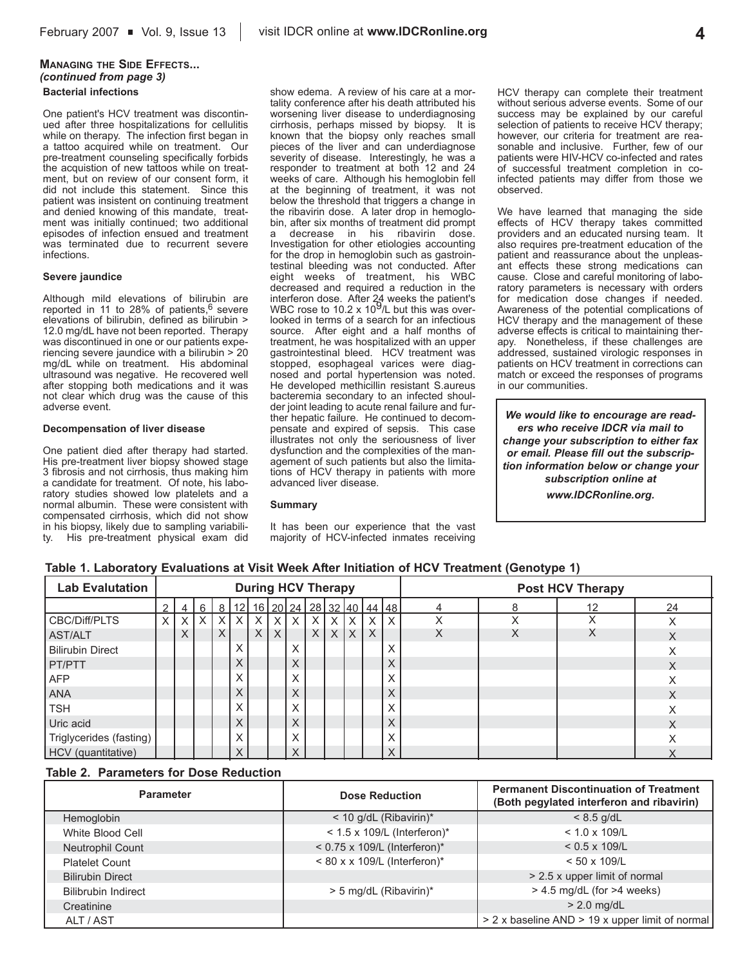### **MANAGING THE SIDE EFFECTS...** *(continued from page 3)*

### **Bacterial infections**

One patient's HCV treatment was discontinued after three hospitalizations for cellulitis while on therapy. The infection first began in a tattoo acquired while on treatment. Our pre-treatment counseling specifically forbids the acquistion of new tattoos while on treatment, but on review of our consent form, it did not include this statement. Since this patient was insistent on continuing treatment and denied knowing of this mandate, treatment was initially continued; two additional episodes of infection ensued and treatment was terminated due to recurrent severe infections.

#### **Severe jaundice**

Although mild elevations of bilirubin are reported in 11 to 28% of patients, $6$  severe elevations of bilirubin, defined as bilirubin > 12.0 mg/dL have not been reported. Therapy was discontinued in one or our patients experiencing severe jaundice with a bilirubin > 20 mg/dL while on treatment. His abdominal ultrasound was negative. He recovered well after stopping both medications and it was not clear which drug was the cause of this adverse event.

#### **Decompensation of liver disease**

One patient died after therapy had started. His pre-treatment liver biopsy showed stage 3 fibrosis and not cirrhosis, thus making him a candidate for treatment. Of note, his laboratory studies showed low platelets and a normal albumin. These were consistent with compensated cirrhosis, which did not show in his biopsy, likely due to sampling variability. His pre-treatment physical exam did

show edema. A review of his care at a mortality conference after his death attributed his worsening liver disease to underdiagnosing cirrhosis, perhaps missed by biopsy. It is known that the biopsy only reaches small pieces of the liver and can underdiagnose severity of disease. Interestingly, he was a responder to treatment at both 12 and 24 weeks of care. Although his hemoglobin fell at the beginning of treatment, it was not below the threshold that triggers a change in the ribavirin dose. A later drop in hemoglobin, after six months of treatment did prompt a decrease in his ribavirin dose. Investigation for other etiologies accounting for the drop in hemoglobin such as gastrointestinal bleeding was not conducted. After eight weeks of treatment, his WBC decreased and required a reduction in the interferon dose. After 24 weeks the patient's WBC rose to 10.2 x 109/L but this was overlooked in terms of a search for an infectious source. After eight and a half months of treatment, he was hospitalized with an upper gastrointestinal bleed. HCV treatment was stopped, esophageal varices were diagnosed and portal hypertension was noted. He developed methicillin resistant S.aureus bacteremia secondary to an infected shoulder joint leading to acute renal failure and further hepatic failure. He continued to decompensate and expired of sepsis. This case illustrates not only the seriousness of liver dysfunction and the complexities of the management of such patients but also the limitations of HCV therapy in patients with more advanced liver disease.

#### **Summary**

It has been our experience that the vast majority of HCV-infected inmates receiving

HCV therapy can complete their treatment without serious adverse events. Some of our success may be explained by our careful selection of patients to receive HCV therapy; however, our criteria for treatment are reasonable and inclusive. Further, few of our patients were HIV-HCV co-infected and rates of successful treatment completion in coinfected patients may differ from those we observed.

We have learned that managing the side effects of HCV therapy takes committed providers and an educated nursing team. It also requires pre-treatment education of the patient and reassurance about the unpleasant effects these strong medications can cause. Close and careful monitoring of laboratory parameters is necessary with orders for medication dose changes if needed. Awareness of the potential complications of HCV therapy and the management of these adverse effects is critical to maintaining therapy. Nonetheless, if these challenges are addressed, sustained virologic responses in patients on HCV treatment in corrections can match or exceed the responses of programs in our communities.

*We would like to encourage are readers who receive IDCR via mail to change your subscription to either fax or email. Please fill out the subscription information below or change your subscription online at www.IDCRonline.org.* 

|  |  |  |  | Table 1. Laboratory Evaluations at Visit Week After Initiation of HCV Treatment (Genotype 1) |
|--|--|--|--|----------------------------------------------------------------------------------------------|
|--|--|--|--|----------------------------------------------------------------------------------------------|

| <b>Lab Evalutation</b>  |          | <b>During HCV Therapy</b> |            |          |            |          |          |   |          |          |     |                                                |   | <b>Post HCV Therapy</b> |   |    |    |
|-------------------------|----------|---------------------------|------------|----------|------------|----------|----------|---|----------|----------|-----|------------------------------------------------|---|-------------------------|---|----|----|
|                         |          |                           | 6          |          |            |          |          |   |          |          |     | 8   12   16   20   24   28   32   40   44   48 |   | 4                       | 8 | 12 | 24 |
| CBC/Diff/PLTS           | $\times$ | $\times$ 1                | $\times$ 1 | XI       | $\times$ 1 | $\times$ | X        | X | $\times$ | $\times$ | ΙX. | $\times$                                       | X | Χ                       | Χ | X  | X  |
| <b>AST/ALT</b>          |          | $\times$                  |            | $\times$ |            | $\times$ | $\times$ |   | $\times$ | X        | l x | $\times$                                       |   | X                       | X | X  | X  |
| <b>Bilirubin Direct</b> |          |                           |            |          | X.         |          |          | X |          |          |     |                                                | X |                         |   |    | X  |
| PT/PTT                  |          |                           |            |          |            |          |          | X |          |          |     |                                                | X |                         |   |    | X  |
| <b>AFP</b>              |          |                           |            |          | X          |          |          | X |          |          |     |                                                | X |                         |   |    | Χ  |
| <b>ANA</b>              |          |                           |            |          |            |          |          | X |          |          |     |                                                | X |                         |   |    | X  |
| <b>TSH</b>              |          |                           |            |          | X          |          |          | X |          |          |     |                                                | X |                         |   |    | X  |
| Uric acid               |          |                           |            |          | ∧          |          |          | X |          |          |     |                                                | X |                         |   |    | X  |
| Triglycerides (fasting) |          |                           |            |          | X          |          |          | X |          |          |     |                                                | X |                         |   |    |    |
| HCV (quantitative)      |          |                           |            |          |            |          |          | X |          |          |     |                                                |   |                         |   |    |    |

#### **Table 2. Parameters for Dose Reduction**

| <b>Parameter</b>           | <b>Dose Reduction</b>          | <b>Permanent Discontinuation of Treatment</b><br>(Both pegylated interferon and ribavirin) |  |  |  |
|----------------------------|--------------------------------|--------------------------------------------------------------------------------------------|--|--|--|
| <b>Hemoglobin</b>          | $<$ 10 g/dL (Ribavirin)*       | $< 8.5$ g/dL                                                                               |  |  |  |
| White Blood Cell           | $<$ 1.5 x 109/L (Interferon)*  | $< 1.0 \times 109/L$                                                                       |  |  |  |
| <b>Neutrophil Count</b>    | $<$ 0.75 x 109/L (Interferon)* | $< 0.5 \times 109$ /L                                                                      |  |  |  |
| <b>Platelet Count</b>      | $< 80 x x 109/L$ (Interferon)* | $< 50 \times 109$ /L                                                                       |  |  |  |
| <b>Bilirubin Direct</b>    |                                | > 2.5 x upper limit of normal                                                              |  |  |  |
| <b>Bilibrubin Indirect</b> | > 5 mg/dL (Ribavirin)*         | $> 4.5$ mg/dL (for $>4$ weeks)                                                             |  |  |  |
| Creatinine                 |                                | $> 2.0$ mg/dL                                                                              |  |  |  |
| ALT / AST                  |                                | > 2 x baseline AND > 19 x upper limit of normal                                            |  |  |  |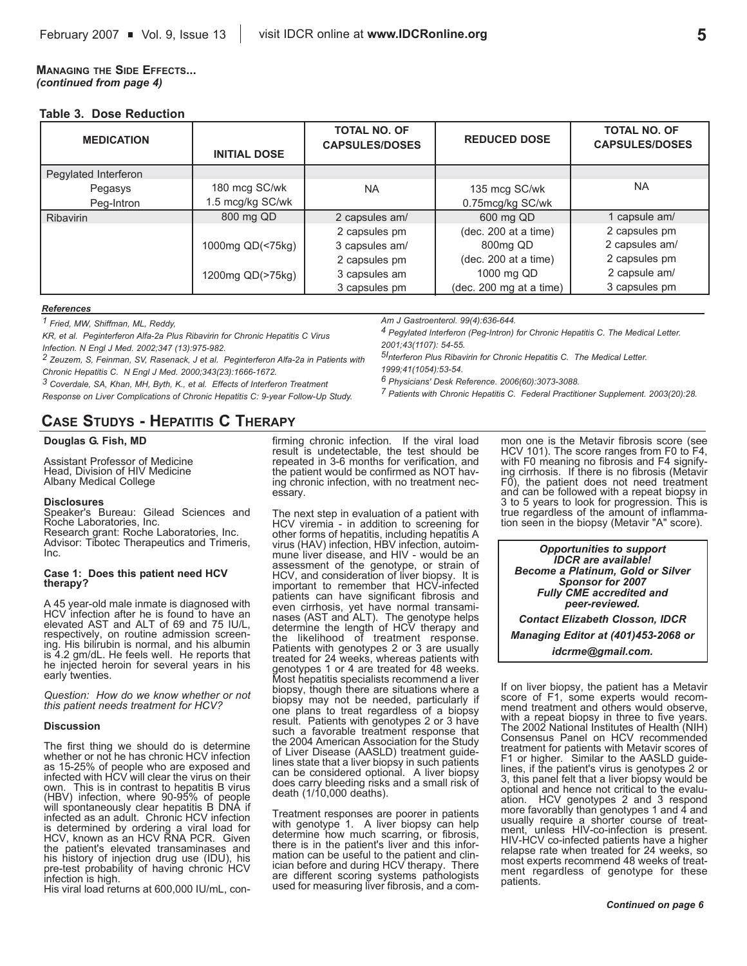### **MANAGING THE SIDE EFFECTS...** *(continued from page 4)*

### **Table 3. Dose Reduction**

| <b>MEDICATION</b>    | <b>INITIAL DOSE</b> | <b>TOTAL NO. OF</b><br><b>CAPSULES/DOSES</b> | <b>REDUCED DOSE</b>     | <b>TOTAL NO. OF</b><br><b>CAPSULES/DOSES</b> |  |
|----------------------|---------------------|----------------------------------------------|-------------------------|----------------------------------------------|--|
| Pegylated Interferon |                     |                                              |                         |                                              |  |
| Pegasys              | 180 mcg SC/wk       | <b>NA</b>                                    | 135 mcg SC/wk           | <b>NA</b>                                    |  |
| Peg-Intron           | 1.5 mcg/kg SC/wk    |                                              | 0.75mcg/kg SC/wk        |                                              |  |
| <b>Ribavirin</b>     | 800 mg QD           | 2 capsules am/                               | 600 mg QD               | 1 capsule am/                                |  |
|                      |                     | 2 capsules pm                                | (dec. 200 at a time)    | 2 capsules pm                                |  |
|                      | 1000mg QD(<75kg)    | 3 capsules am/                               | 800mg QD                | 2 capsules am/                               |  |
|                      |                     | 2 capsules pm                                | (dec. 200 at a time)    | 2 capsules pm                                |  |
|                      | 1200mg QD(>75kg)    | 3 capsules am                                | 1000 mg QD              | 2 capsule am/                                |  |
|                      |                     | 3 capsules pm                                | (dec. 200 mg at a time) | 3 capsules pm                                |  |

#### *References*

*1 Fried, MW, Shiffman, ML, Reddy,*

*KR, et al. Peginterferon Alfa-2a Plus Ribavirin for Chronic Hepatitis C Virus Infection. N Engl J Med. 2002;347 (13):975-982.*

*Am J Gastroenterol. 99(4):636-644.*

*6 Physicians' Desk Reference. 2006(60):3073-3088.*

*4 Pegylated Interferon (Peg-Intron) for Chronic Hepatitis C. The Medical Letter. 2001;43(1107): 54-55.*

*7 Patients with Chronic Hepatitis C. Federal Practitioner Supplement. 2003(20):28.*

*2 Zeuzem, S, Feinman, SV, Rasenack, J et al. Peginterferon Alfa-2a in Patients with 5Interferon Plus Ribavirin for Chronic Hepatitis C. The Medical Letter. 1999;41(1054):53-54.*

*Chronic Hepatitis C. N Engl J Med. 2000;343(23):1666-1672.*

*3 Coverdale, SA, Khan, MH, Byth, K., et al. Effects of Interferon Treatment Response on Liver Complications of Chronic Hepatitis C: 9-year Follow-Up Study.*

# **CASE STUDYS - HEPATITIS C THERAPY**

#### **Douglas G. Fish, MD**

Assistant Professor of Medicine Head, Division of HIV Medicine Albany Medical College

#### **Disclosures**

Speaker's Bureau: Gilead Sciences and Roche Laboratories, Inc. Research grant: Roche Laboratories, Inc.

Advisor: Tibotec Therapeutics and Trimeris, Inc.

#### **Case 1: Does this patient need HCV therapy?**

A 45 year-old male inmate is diagnosed with HCV infection after he is found to have an elevated AST and ALT of 69 and 75 IU/L, respectively, on routine admission screening. His bilirubin is normal, and his albumin is 4.2 gm/dL. He feels well. He reports that he injected heroin for several years in his early twenties.

*Question: How do we know whether or not this patient needs treatment for HCV?* 

#### **Discussion**

The first thing we should do is determine whether or not he has chronic HCV infection as 15-25% of people who are exposed and infected with HCV will clear the virus on their own. This is in contrast to hepatitis B virus (HBV) infection, where 90-95% of people will spontaneously clear hepatitis B DNA if infected as an adult. Chronic HCV infection is determined by ordering a viral load for HCV, known as an HCV RNA PCR. Given the patient's elevated transaminases and his history of injection drug use (IDU), his pre-test probability of having chronic HCV infection is high.

His viral load returns at 600,000 IU/mL, con-

firming chronic infection. If the viral load result is undetectable, the test should be repeated in 3-6 months for verification, and the patient would be confirmed as NOT having chronic infection, with no treatment necessary.

The next step in evaluation of a patient with HCV viremia - in addition to screening for other forms of hepatitis, including hepatitis A virus (HAV) infection, HBV infection, autoimmune liver disease, and HIV - would be an assessment of the genotype, or strain of HCV, and consideration of liver biopsy. It is important to remember that HCV-infected patients can have significant fibrosis and even cirrhosis, yet have normal transaminases (AST and ALT). The genotype helps determine the length of HCV therapy and the likelihood of treatment response. Patients with genotypes 2 or 3 are usually treated for 24 weeks, whereas patients with genotypes 1 or 4 are treated for 48 weeks. Most hepatitis specialists recommend a liver biopsy, though there are situations where a biopsy may not be needed, particularly if one plans to treat regardless of a biopsy result. Patients with genotypes 2 or 3 have such a favorable treatment response that the 2004 American Association for the Study of Liver Disease (AASLD) treatment guidelines state that a liver biopsy in such patients can be considered optional. A liver biopsy does carry bleeding risks and a small risk of death (1/10,000 deaths).

Treatment responses are poorer in patients with genotype 1. A liver biopsy can help determine how much scarring, or fibrosis, there is in the patient's liver and this information can be useful to the patient and clinician before and during HCV therapy. There are different scoring systems pathologists used for measuring liver fibrosis, and a com-

mon one is the Metavir fibrosis score (see HCV 101). The score ranges from F0 to F4, with F0 meaning no fibrosis and F4 signifying cirrhosis. If there is no fibrosis (Metavir F0), the patient does not need treatment and can be followed with a repeat biopsy in 3 to 5 years to look for progression. This is true regardless of the amount of inflammation seen in the biopsy (Metavir "A" score).

*Opportunities to support IDCR are available! Become a Platinum, Gold or Silver Sponsor for 2007 Fully CME accredited and peer-reviewed. Contact Elizabeth Closson, IDCR Managing Editor at (401)453-2068 or idcrme@gmail.com.*

If on liver biopsy, the patient has a Metavir score of F1, some experts would recommend treatment and others would observe, with a repeat biopsy in three to five years. The 2002 National Institutes of Health (NIH) Consensus Panel on HCV recommended treatment for patients with Metavir scores of F1 or higher. Similar to the AASLD guidelines, if the patient's virus is genotypes 2 or 3, this panel felt that a liver biopsy would be optional and hence not critical to the evaluation. HCV genotypes 2 and 3 respond more favorablly than genotypes 1 and 4 and usually require a shorter course of treatment, unless HIV-co-infection is present. HIV-HCV co-infected patients have a higher relapse rate when treated for 24 weeks, so most experts recommend 48 weeks of treatment regardless of genotype for these patients.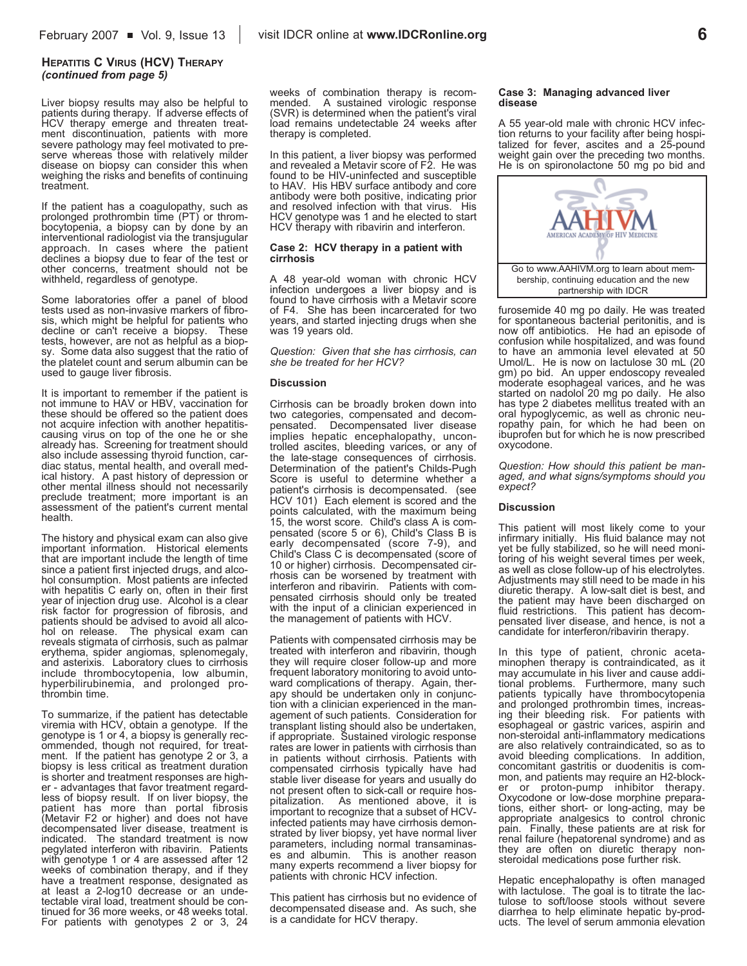#### **HEPATITIS C VIRUS (HCV) THERAPY** *(continued from page 5)*

Liver biopsy results may also be helpful to patients during therapy. If adverse effects of HCV therapy emerge and threaten treatment discontinuation, patients with more severe pathology may feel motivated to preserve whereas those with relatively milder disease on biopsy can consider this when weighing the risks and benefits of continuing treatment.

If the patient has a coagulopathy, such as prolonged prothrombin time (PT) or thrombocytopenia, a biopsy can by done by an interventional radiologist via the transjugular approach. In cases where the patient declines a biopsy due to fear of the test or other concerns, treatment should not be withheld, regardless of genotype.

Some laboratories offer a panel of blood tests used as non-invasive markers of fibrosis, which might be helpful for patients who decline or can't receive a biopsy. These tests, however, are not as helpful as a biopsy. Some data also suggest that the ratio of the platelet count and serum albumin can be used to gauge liver fibrosis.

It is important to remember if the patient is not immune to HAV or HBV, vaccination for these should be offered so the patient does not acquire infection with another hepatitiscausing virus on top of the one he or she already has. Screening for treatment should also include assessing thyroid function, cardiac status, mental health, and overall medical history. A past history of depression or other mental illness should not necessarily preclude treatment; more important is an assessment of the patient's current mental health.

The history and physical exam can also give important information. Historical elements that are important include the length of time since a patient first injected drugs, and alcohol consumption. Most patients are infected with hepatitis C early on, often in their first year of injection drug use. Alcohol is a clear risk factor for progression of fibrosis, and patients should be advised to avoid all alcohol on release. The physical exam can reveals stigmata of cirrhosis, such as palmar erythema, spider angiomas, splenomegaly, and asterixis. Laboratory clues to cirrhosis include thrombocytopenia, low albumin, hyperbilirubinemia, and prolonged prothrombin time.

To summarize, if the patient has detectable viremia with HCV, obtain a genotype. If the genotype is 1 or 4, a biopsy is generally recommended, though not required, for treatment. If the patient has genotype 2 or 3, a biopsy is less critical as treatment duration is shorter and treatment responses are higher - advantages that favor treatment regardless of biopsy result. If on liver biopsy, the patient has more than portal fibrosis (Metavir F2 or higher) and does not have decompensated liver disease, treatment is indicated. The standard treatment is now pegylated interferon with ribavirin. Patients with genotype 1 or 4 are assessed after 12 weeks of combination therapy, and if they have a treatment response, designated as at least a 2-log10 decrease or an undetectable viral load, treatment should be continued for 36 more weeks, or 48 weeks total. For patients with genotypes 2 or 3, 24 weeks of combination therapy is recommended. A sustained virologic response (SVR) is determined when the patient's viral load remains undetectable 24 weeks after therapy is completed.

In this patient, a liver biopsy was performed and revealed a Metavir score of F2. He was found to be HIV-uninfected and susceptible to HAV. His HBV surface antibody and core antibody were both positive, indicating prior and resolved infection with that virus. His HCV genotype was 1 and he elected to start HCV therapy with ribavirin and interferon.

#### **Case 2: HCV therapy in a patient with cirrhosis**

A 48 year-old woman with chronic HCV infection undergoes a liver biopsy and is found to have cirrhosis with a Metavir score of F4. She has been incarcerated for two years, and started injecting drugs when she was 19 years old.

*Question: Given that she has cirrhosis, can she be treated for her HCV?*

#### **Discussion**

Cirrhosis can be broadly broken down into two categories, compensated and decompensated. Decompensated liver disease implies hepatic encephalopathy, uncontrolled ascites, bleeding varices, or any of the late-stage consequences of cirrhosis. Determination of the patient's Childs-Pugh Score is useful to determine whether a patient's cirrhosis is decompensated. (see HCV 101) Each element is scored and the points calculated, with the maximum being 15, the worst score. Child's class A is compensated (score 5 or 6), Child's Class B is early decompensated (score 7-9), and Child's Class C is decompensated (score of 10 or higher) cirrhosis. Decompensated cirrhosis can be worsened by treatment with interferon and ribavirin. Patients with compensated cirrhosis should only be treated with the input of a clinician experienced in the management of patients with HCV.

Patients with compensated cirrhosis may be treated with interferon and ribavirin, though they will require closer follow-up and more frequent laboratory monitoring to avoid untoward complications of therapy. Again, therapy should be undertaken only in conjunction with a clinician experienced in the management of such patients. Consideration for transplant listing should also be undertaken, if appropriate. Sustained virologic response rates are lower in patients with cirrhosis than in patients without cirrhosis. Patients with compensated cirrhosis typically have had stable liver disease for years and usually do not present often to sick-call or require hospitalization. As mentioned above, it is important to recognize that a subset of HCVinfected patients may have cirrhosis demonstrated by liver biopsy, yet have normal liver parameters, including normal transaminases and albumin. This is another reason many experts recommend a liver biopsy for patients with chronic HCV infection.

This patient has cirrhosis but no evidence of decompensated disease and. As such, she is a candidate for HCV therapy.

#### **Case 3: Managing advanced liver disease**

A 55 year-old male with chronic HCV infection returns to your facility after being hospitalized for fever, ascites and a 25-pound weight gain over the preceding two months. He is on spironolactone 50 mg po bid and



furosemide 40 mg po daily. He was treated for spontaneous bacterial peritonitis, and is now off antibiotics. He had an episode of confusion while hospitalized, and was found to have an ammonia level elevated at 50 Umol/L. He is now on lactulose 30 mL (20 gm) po bid. An upper endoscopy revealed moderate esophageal varices, and he was started on nadolol 20 mg po daily. He also has type 2 diabetes mellitus treated with an oral hypoglycemic, as well as chronic neuropathy pain, for which he had been on ibuprofen but for which he is now prescribed oxycodone.

*Question: How should this patient be managed, and what signs/symptoms should you expect?*

#### **Discussion**

This patient will most likely come to your infirmary initially. His fluid balance may not yet be fully stabilized, so he will need monitoring of his weight several times per week, as well as close follow-up of his electrolytes. Adjustments may still need to be made in his diuretic therapy. A low-salt diet is best, and the patient may have been discharged on fluid restrictions. This patient has decompensated liver disease, and hence, is not a candidate for interferon/ribavirin therapy.

In this type of patient, chronic acetaminophen therapy is contraindicated, as it may accumulate in his liver and cause additional problems. Furthermore, many such patients typically have thrombocytopenia and prolonged prothrombin times, increasing their bleeding risk. For patients with esophageal or gastric varices, aspirin and non-steroidal anti-inflammatory medications are also relatively contraindicated, so as to avoid bleeding complications. In addition, concomitant gastritis or duodenitis is common, and patients may require an H2-blocker or proton-pump inhibitor therapy. Oxycodone or low-dose morphine preparations, either short- or long-acting, may be appropriate analgesics to control chronic pain. Finally, these patients are at risk for renal failure (hepatorenal syndrome) and as they are often on diuretic therapy nonsteroidal medications pose further risk.

Hepatic encephalopathy is often managed with lactulose. The goal is to titrate the lactulose to soft/loose stools without severe diarrhea to help eliminate hepatic by-products. The level of serum ammonia elevation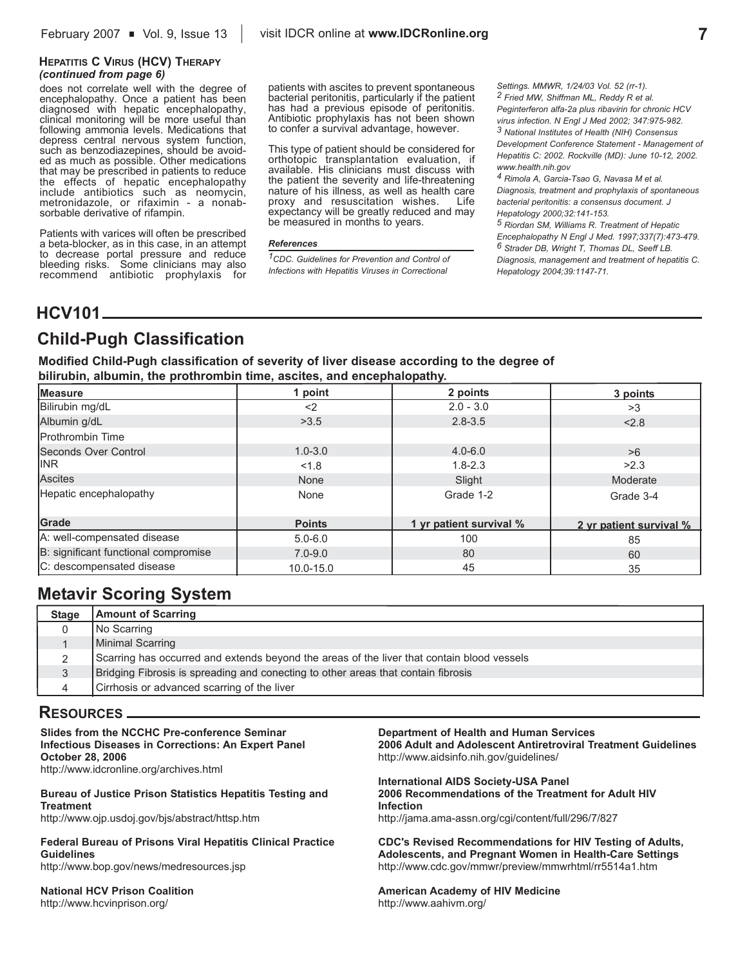### **HEPATITIS C VIRUS (HCV) THERAPY** *(continued from page 6)*

does not correlate well with the degree of encephalopathy. Once a patient has been diagnosed with hepatic encephalopathy, clinical monitoring will be more useful than following ammonia levels. Medications that depress central nervous system function, such as benzodiazepines, should be avoided as much as possible. Other medications that may be prescribed in patients to reduce the effects of hepatic encephalopathy include antibiotics such as neomycin, metronidazole, or rifaximin - a nonabsorbable derivative of rifampin.

Patients with varices will often be prescribed a beta-blocker, as in this case, in an attempt to decrease portal pressure and reduce bleeding risks. Some clinicians may also recommend antibiotic prophylaxis for

patients with ascites to prevent spontaneous bacterial peritonitis, particularly if the patient has had a previous episode of peritonitis. Antibiotic prophylaxis has not been shown to confer a survival advantage, however.

This type of patient should be considered for orthotopic transplantation evaluation, if available. His clinicians must discuss with the patient the severity and life-threatening nature of his illness, as well as health care proxy and resuscitation wishes. Life expectancy will be greatly reduced and may be measured in months to years.

#### *References*

*1CDC. Guidelines for Prevention and Control of Infections with Hepatitis Viruses in Correctional*

*Settings. MMWR, 1/24/03 Vol. 52 (rr-1). 2 Fried MW, Shiffman ML, Reddy R et al. Peginterferon alfa-2a plus ribavirin for chronic HCV*

*virus infection. N Engl J Med 2002; 347:975-982. 3 National Institutes of Health (NIH) Consensus Development Conference Statement - Management of Hepatitis C: 2002. Rockville (MD): June 10-12, 2002. www.health.nih.gov*

*4 Rimola A, Garcia-Tsao G, Navasa M et al. Diagnosis, treatment and prophylaxis of spontaneous bacterial peritonitis: a consensus document. J Hepatology 2000;32:141-153.*

*5 Riordan SM, Williams R. Treatment of Hepatic Encephalopathy N Engl J Med. 1997;337(7):473-479. 6 Strader DB, Wright T, Thomas DL, Seeff LB. Diagnosis, management and treatment of hepatitis C. Hepatology 2004;39:1147-71.* 

# **HCV101**

# **Child-Pugh Classification**

**Modified Child-Pugh classification of severity of liver disease according to the degree of bilirubin, albumin, the prothrombin time, ascites, and encephalopathy.**

| Measure                              | 1 point       | 2 points                | 3 points                |
|--------------------------------------|---------------|-------------------------|-------------------------|
| Bilirubin mg/dL                      | $<$ 2         | $2.0 - 3.0$             | >3                      |
| Albumin g/dL                         | >3.5          | $2.8 - 3.5$             | < 2.8                   |
| <b>IProthrombin Time</b>             |               |                         |                         |
| Seconds Over Control                 | $1.0 - 3.0$   | $4.0 - 6.0$             | >6                      |
| <b>IINR</b>                          | < 1.8         | $1.8 - 2.3$             | >2.3                    |
| Ascites                              | None          | Slight                  | Moderate                |
| Hepatic encephalopathy               | None          | Grade 1-2               | Grade 3-4               |
| Grade                                | <b>Points</b> | 1 yr patient survival % | 2 vr patient survival % |
| A: well-compensated disease          | $5.0 - 6.0$   | 100                     | 85                      |
| B: significant functional compromise | $7.0 - 9.0$   | 80                      | 60                      |
| C: descompensated disease            | $10.0 - 15.0$ | 45                      | 35                      |

# **Metavir Scoring System**

| <b>Stage</b> | <b>Amount of Scarring</b>                                                                  |
|--------------|--------------------------------------------------------------------------------------------|
|              | No Scarring                                                                                |
|              | Minimal Scarring                                                                           |
|              | Scarring has occurred and extends beyond the areas of the liver that contain blood vessels |
|              | Bridging Fibrosis is spreading and conecting to other areas that contain fibrosis          |
|              | Cirrhosis or advanced scarring of the liver                                                |

## **RESOURCES**

**Slides from the NCCHC Pre-conference Seminar Infectious Diseases in Corrections: An Expert Panel October 28, 2006** http://www.idcronline.org/archives.html

**Bureau of Justice Prison Statistics Hepatitis Testing and Treatment** http://www.ojp.usdoj.gov/bjs/abstract/httsp.htm

**Federal Bureau of Prisons Viral Hepatitis Clinical Practice Guidelines** http://www.bop.gov/news/medresources.jsp

**National HCV Prison Coalition**  http://www.hcvinprison.org/

**Department of Health and Human Services 2006 Adult and Adolescent Antiretroviral Treatment Guidelines** http://www.aidsinfo.nih.gov/guidelines/

**International AIDS Society-USA Panel 2006 Recommendations of the Treatment for Adult HIV Infection** http://jama.ama-assn.org/cgi/content/full/296/7/827

**CDC's Revised Recommendations for HIV Testing of Adults, Adolescents, and Pregnant Women in Health-Care Settings** http://www.cdc.gov/mmwr/preview/mmwrhtml/rr5514a1.htm

**American Academy of HIV Medicine** http://www.aahivm.org/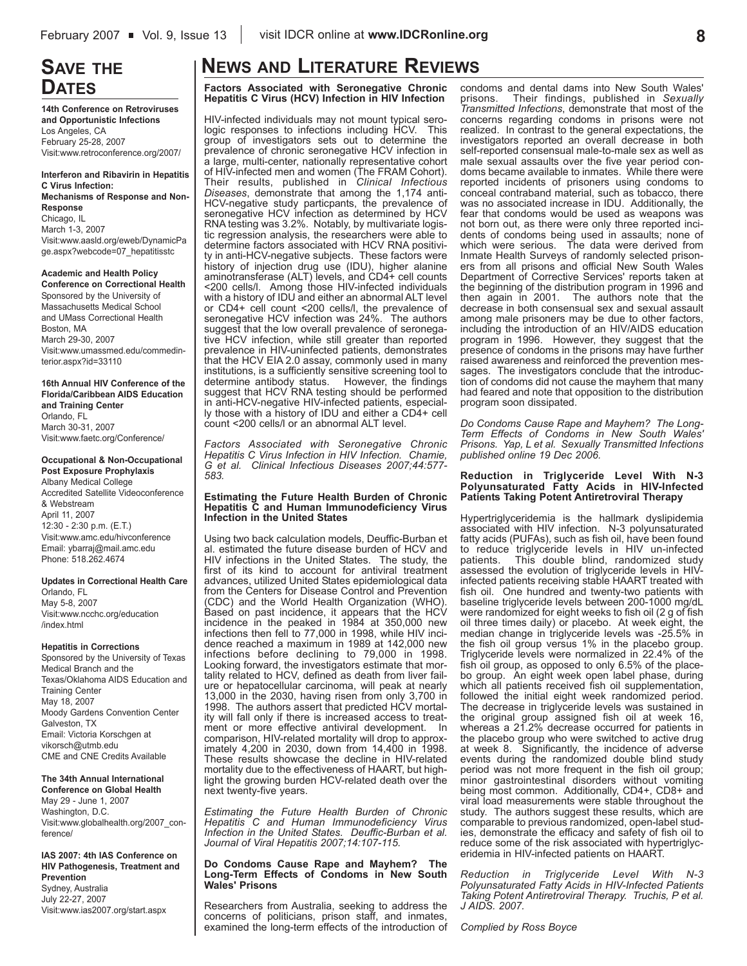# **SAVE THE DATES**

**14th Conference on Retroviruses and Opportunistic Infections** Los Angeles, CA February 25-28, 2007 Visit:www.retroconference.org/2007/

**Interferon and Ribavirin in Hepatitis C Virus Infection: Mechanisms of Response and Non-Response** Chicago, IL March 1-3, 2007 Visit:www.aasld.org/eweb/DynamicPa ge.aspx?webcode=07\_hepatitisstc

**Academic and Health Policy Conference on Correctional Health** Sponsored by the University of Massachusetts Medical School and UMass Correctional Health Boston, MA March 29-30, 2007 Visit:www.umassmed.edu/commedinterior.aspx?id=33110

**16th Annual HIV Conference of the Florida/Caribbean AIDS Education and Training Center** Orlando, FL March 30-31, 2007 Visit:www.faetc.org/Conference/

**Occupational & Non-Occupational Post Exposure Prophylaxis** Albany Medical College Accredited Satellite Videoconference & Webstream April 11, 2007 12:30 - 2:30 p.m. (E.T.) Visit:www.amc.edu/hivconference Email: ybarraj@mail.amc.edu Phone: 518.262.4674

**Updates in Correctional Health Care** Orlando, FL May 5-8, 2007 Visit:www.ncchc.org/education /index.html

#### **Hepatitis in Corrections**

Sponsored by the University of Texas Medical Branch and the Texas/Oklahoma AIDS Education and Training Center May 18, 2007 Moody Gardens Convention Center Galveston, TX Email: Victoria Korschgen at vikorsch@utmb.edu CME and CNE Credits Available

#### **The 34th Annual International**

**Conference on Global Health** May 29 - June 1, 2007 Washington, D.C. Visit:www.globalhealth.org/2007\_conference/

#### **IAS 2007: 4th IAS Conference on HIV Pathogenesis, Treatment and Prevention**

Sydney, Australia July 22-27, 2007 Visit:www.ias2007.org/start.aspx

# **NEWS AND LITERATURE REVIEWS**

**Factors Associated with Seronegative Chronic Hepatitis C Virus (HCV) Infection in HIV Infection**

HIV-infected individuals may not mount typical serologic responses to infections including HCV. This group of investigators sets out to determine the prevalence of chronic seronegative HCV infection in a large, multi-center, nationally representative cohort of HIV-infected men and women (The FRAM Cohort). Their results, published in *Clinical Infectious Diseases*, demonstrate that among the 1,174 anti-HCV-negative study particpants, the prevalence of seronegative HCV infection as determined by HCV RNA testing was 3.2%. Notably, by multivariate logistic regression analysis, the researchers were able to determine factors associated with HCV RNA positivity in anti-HCV-negative subjects. These factors were history of injection drug use (IDU), higher alanine aminotransferase (ALT) levels, and CD4+ cell counts <200 cells/l. Among those HIV-infected individuals with a history of IDU and either an abnormal ALT level or CD4+ cell count <200 cells/l, the prevalence of seronegative HCV infection was 24%. The authors suggest that the low overall prevalence of seronegative HCV infection, while still greater than reported prevalence in HIV-uninfected patients, demonstrates that the HCV EIA 2.0 assay, commonly used in many institutions, is a sufficiently sensitive screening tool to determine antibody status. However, the findings suggest that HCV RNA testing should be performed in anti-HCV-negative HIV-infected patients, especially those with a history of IDU and either a CD4+ cell count <200 cells/l or an abnormal ALT level.

*Factors Associated with Seronegative Chronic Hepatitis C Virus Infection in HIV Infection. Chamie, G et al. Clinical Infectious Diseases 2007;44:577- 583.*

#### **Estimating the Future Health Burden of Chronic Hepatitis C and Human Immunodeficiency Virus Infection in the United States**

Using two back calculation models, Deuffic-Burban et al. estimated the future disease burden of HCV and HIV infections in the United States. The study, the first of its kind to account for antiviral treatment advances, utilized United States epidemiological data from the Centers for Disease Control and Prevention (CDC) and the World Health Organization (WHO). Based on past incidence, it appears that the HCV incidence in the peaked in 1984 at 350,000 new infections then fell to 77,000 in 1998, while HIV incidence reached a maximum in 1989 at 142,000 new infections before declining to 79,000 in 1998. Looking forward, the investigators estimate that mortality related to HCV, defined as death from liver failure or hepatocellular carcinoma, will peak at nearly 13,000 in the 2030, having risen from only 3,700 in 1998. The authors assert that predicted HCV mortality will fall only if there is increased access to treatment or more effective antiviral development. In comparison, HIV-related mortality will drop to approximately 4,200 in 2030, down from 14,400 in 1998. These results showcase the decline in HIV-related mortality due to the effectiveness of HAART, but highlight the growing burden HCV-related death over the next twenty-five years.

*Estimating the Future Health Burden of Chronic Hepatitis C and Human Immunodeficiency Virus Infection in the United States. Deuffic-Burban et al. Journal of Viral Hepatitis 2007;14:107-115.*

#### **Do Condoms Cause Rape and Mayhem? The Long-Term Effects of Condoms in New South Wales' Prisons**

Researchers from Australia, seeking to address the concerns of politicians, prison staff, and inmates, examined the long-term effects of the introduction of condoms and dental dams into New South Wales'<br>prisons. Their findings, published in Sexually prisons. Their findings, published in *Sexually Transmitted Infections*, demonstrate that most of the concerns regarding condoms in prisons were not realized. In contrast to the general expectations, the investigators reported an overall decrease in both self-reported consensual male-to-male sex as well as male sexual assaults over the five year period condoms became available to inmates. While there were reported incidents of prisoners using condoms to conceal contraband material, such as tobacco, there was no associated increase in IDU. Additionally, the fear that condoms would be used as weapons was not born out, as there were only three reported incidents of condoms being used in assaults; none of which were serious. The data were derived from Inmate Health Surveys of randomly selected prisoners from all prisons and official New South Wales Department of Corrective Services' reports taken at the beginning of the distribution program in 1996 and then again in 2001. The authors note that the decrease in both consensual sex and sexual assault among male prisoners may be due to other factors, including the introduction of an HIV/AIDS education program in 1996. However, they suggest that the presence of condoms in the prisons may have further raised awareness and reinforced the prevention messages. The investigators conclude that the introduction of condoms did not cause the mayhem that many had feared and note that opposition to the distribution program soon dissipated.

*Do Condoms Cause Rape and Mayhem? The Long-Term Effects of Condoms in New South Wales' Prisons. Yap, L et al. Sexually Transmitted Infections published online 19 Dec 2006.* 

#### **Reduction in Triglyceride Level With N-3 Polyunsaturated Fatty Acids in HIV-Infected Patients Taking Potent Antiretroviral Therapy**

Hypertriglyceridemia is the hallmark dyslipidemia associated with HIV infection. N-3 polyunsaturated fatty acids (PUFAs), such as fish oil, have been found to reduce triglyceride levels in HIV un-infected<br>patients. This double blind, randomized study This double blind, randomized study assessed the evolution of triglyceride levels in HIVinfected patients receiving stable HAART treated with fish oil. One hundred and twenty-two patients with baseline triglyceride levels between 200-1000 mg/dL were randomized for eight weeks to fish oil (2 g of fish oil three times daily) or placebo. At week eight, the median change in triglyceride levels was -25.5% in the fish oil group versus 1% in the placebo group. Triglyceride levels were normalized in 22.4% of the fish oil group, as opposed to only 6.5% of the placebo group. An eight week open label phase, during which all patients received fish oil supplementation, followed the initial eight week randomized period. The decrease in triglyceride levels was sustained in the original group assigned fish oil at week 16, whereas a 21.2% decrease occurred for patients in the placebo group who were switched to active drug at week 8. Significantly, the incidence of adverse events during the randomized double blind study period was not more frequent in the fish oil group; minor gastrointestinal disorders without vomiting being most common. Additionally, CD4+, CD8+ and viral load measurements were stable throughout the study. The authors suggest these results, which are comparable to previous randomized, open-label studies, demonstrate the efficacy and safety of fish oil to reduce some of the risk associated with hypertriglyceridemia in HIV-infected patients on HAART.

*Reduction in Triglyceride Level With N-3 Polyunsaturated Fatty Acids in HIV-Infected Patients Taking Potent Antiretroviral Therapy. Truchis, P et al. J AIDS. 2007.* 

*Complied by Ross Boyce*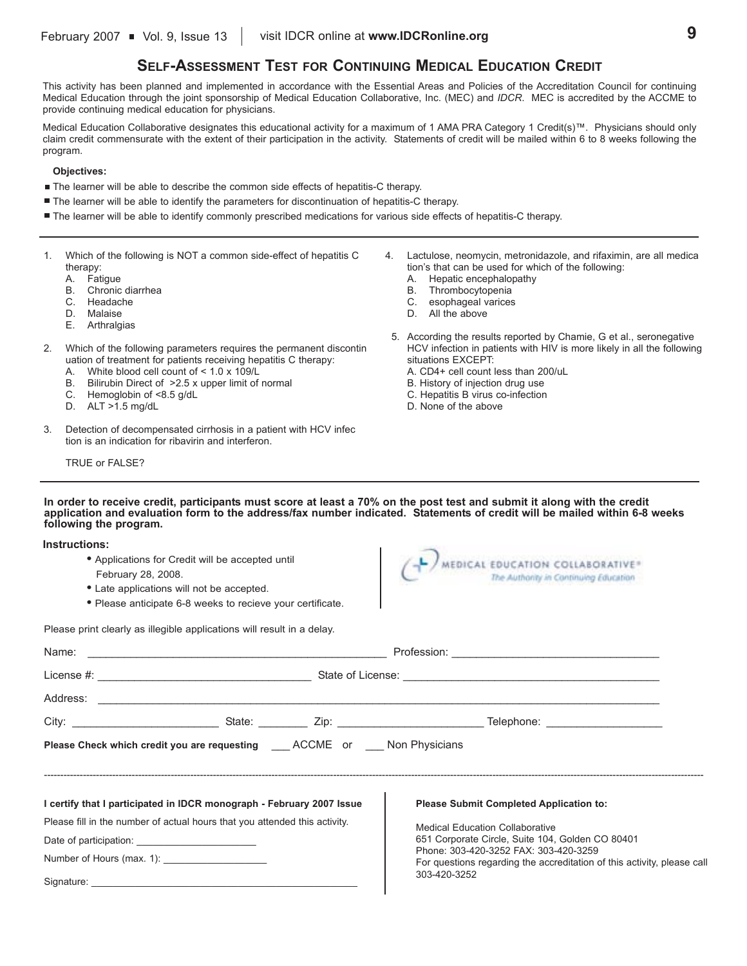## **SELF-ASSESSMENT TEST FOR CONTINUING MEDICAL EDUCATION CREDIT**

This activity has been planned and implemented in accordance with the Essential Areas and Policies of the Accreditation Council for continuing Medical Education through the joint sponsorship of Medical Education Collaborative, Inc. (MEC) and *IDCR*. MEC is accredited by the ACCME to provide continuing medical education for physicians.

Medical Education Collaborative designates this educational activity for a maximum of 1 AMA PRA Category 1 Credit(s)™. Physicians should only claim credit commensurate with the extent of their participation in the activity. Statements of credit will be mailed within 6 to 8 weeks following the program.

#### **Objectives:**

- The learner will be able to describe the common side effects of hepatitis-C therapy.
- The learner will be able to identify the parameters for discontinuation of hepatitis-C therapy.
- The learner will be able to identify commonly prescribed medications for various side effects of hepatitis-C therapy.
- 1. Which of the following is NOT a common side-effect of hepatitis C therapy:
	- A. Fatigue
	- B. Chronic diarrhea
	- C. Headache
	- D. Malaise
	- E. Arthralgias
- 2. Which of the following parameters requires the permanent discontin uation of treatment for patients receiving hepatitis C therapy:
	- A. White blood cell count of < 1.0 x 109/L
	- B. Bilirubin Direct of >2.5 x upper limit of normal
	- C. Hemoglobin of <8.5 g/dL
	- D. ALT >1.5 mg/dL
- 3. Detection of decompensated cirrhosis in a patient with HCV infec tion is an indication for ribavirin and interferon.
	- TRUE or FALSE?

**Instructions:**

- 4. Lactulose, neomycin, metronidazole, and rifaximin, are all medica tion's that can be used for which of the following:
	- A. Hepatic encephalopathy
	- B. Thrombocytopenia
	- C. esophageal varices
	- D. All the above
- 5. According the results reported by Chamie, G et al., seronegative HCV infection in patients with HIV is more likely in all the following situations EXCEPT:
	- A. CD4+ cell count less than 200/uL
	- B. History of injection drug use
	- C. Hepatitis B virus co-infection
	- D. None of the above

**In order to receive credit, participants must score at least a 70% on the post test and submit it along with the credit application and evaluation form to the address/fax number indicated. Statements of credit will be mailed within 6-8 weeks following the program.**

| 11 13 41 41 64 64 65 66 7<br>February 28, 2008.                                            | • Applications for Credit will be accepted until<br>• Late applications will not be accepted. | MEDICAL EDUCATION COLLABORATIVE®<br>The Authority in Continuing Education                 |
|--------------------------------------------------------------------------------------------|-----------------------------------------------------------------------------------------------|-------------------------------------------------------------------------------------------|
|                                                                                            | • Please anticipate 6-8 weeks to recieve your certificate.                                    |                                                                                           |
| Please print clearly as illegible applications will result in a delay.                     |                                                                                               |                                                                                           |
| Name:                                                                                      |                                                                                               |                                                                                           |
|                                                                                            |                                                                                               |                                                                                           |
|                                                                                            |                                                                                               |                                                                                           |
|                                                                                            |                                                                                               |                                                                                           |
| <b>Please Check which credit you are requesting COCCONE OR SECONE OF ST AND Physicians</b> |                                                                                               |                                                                                           |
| I certify that I participated in IDCR monograph - February 2007 Issue                      |                                                                                               | <b>Please Submit Completed Application to:</b>                                            |
| Please fill in the number of actual hours that you attended this activity.                 |                                                                                               | <b>Medical Education Collaborative</b>                                                    |
|                                                                                            |                                                                                               | 651 Corporate Circle, Suite 104, Golden CO 80401<br>Phone: 303-420-3252 FAX: 303-420-3259 |
| Number of Hours (max. 1): ___________________                                              |                                                                                               | For questions regarding the accreditation of this activity, please call                   |
|                                                                                            |                                                                                               | 303-420-3252                                                                              |